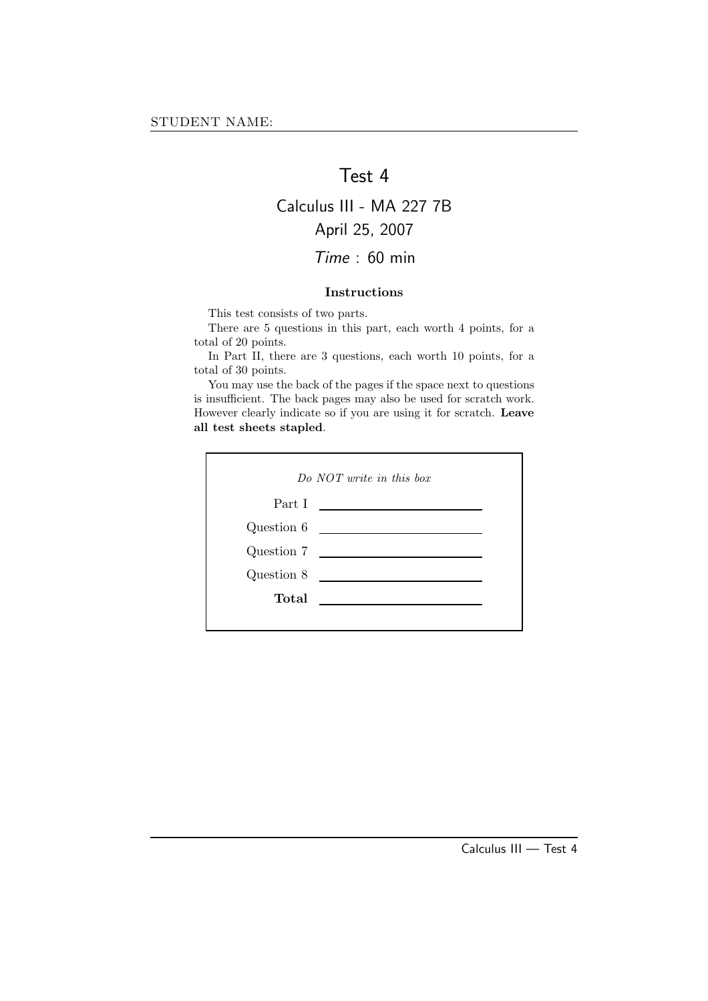### Test 4

## Calculus III - MA 227 7B April 25, 2007

### Time : 60 min

#### Instructions

This test consists of two parts.

There are 5 questions in this part, each worth 4 points, for a total of 20 points.

In Part II, there are 3 questions, each worth 10 points, for a total of 30 points.

You may use the back of the pages if the space next to questions is insufficient. The back pages may also be used for scratch work. However clearly indicate so if you are using it for scratch. Leave all test sheets stapled.

| $Do\ NOT\ write\ in\ this\ box$ |                                                  |
|---------------------------------|--------------------------------------------------|
| Part I                          |                                                  |
| Question 6                      | <u> Alexandria (m. 1888)</u>                     |
|                                 | Question 7                                       |
| Question 8                      | <u> 1989 - Andrea Station Barbara, politik a</u> |
| Total                           |                                                  |
|                                 |                                                  |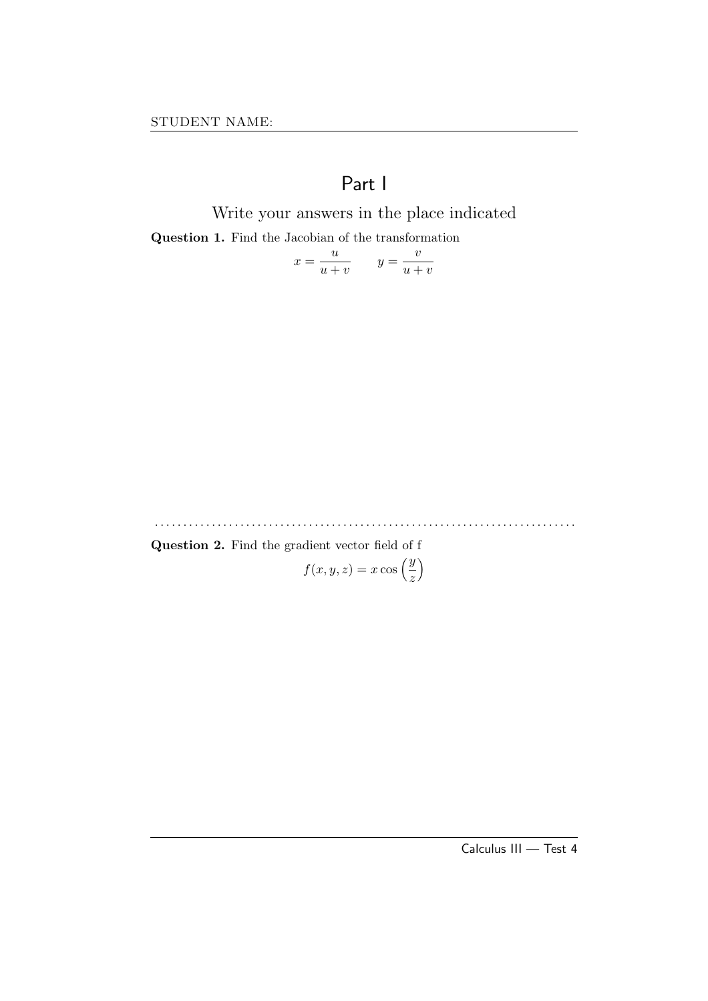## Part I

Write your answers in the place indicated

Question 1. Find the Jacobian of the transformation

$$
x = \frac{u}{u+v} \qquad y = \frac{v}{u+v}
$$

. . . . . . . . . . . . . . . . . . . . . . . . . . . . . . . . . . . . . . . . . . . . . . . . . . . . . . . . . . . . . . . . . . . . . . . . . .

**Question 2.** Find the gradient vector field of f\n
$$
f(x, y, z) = x \cos\left(\frac{y}{z}\right)
$$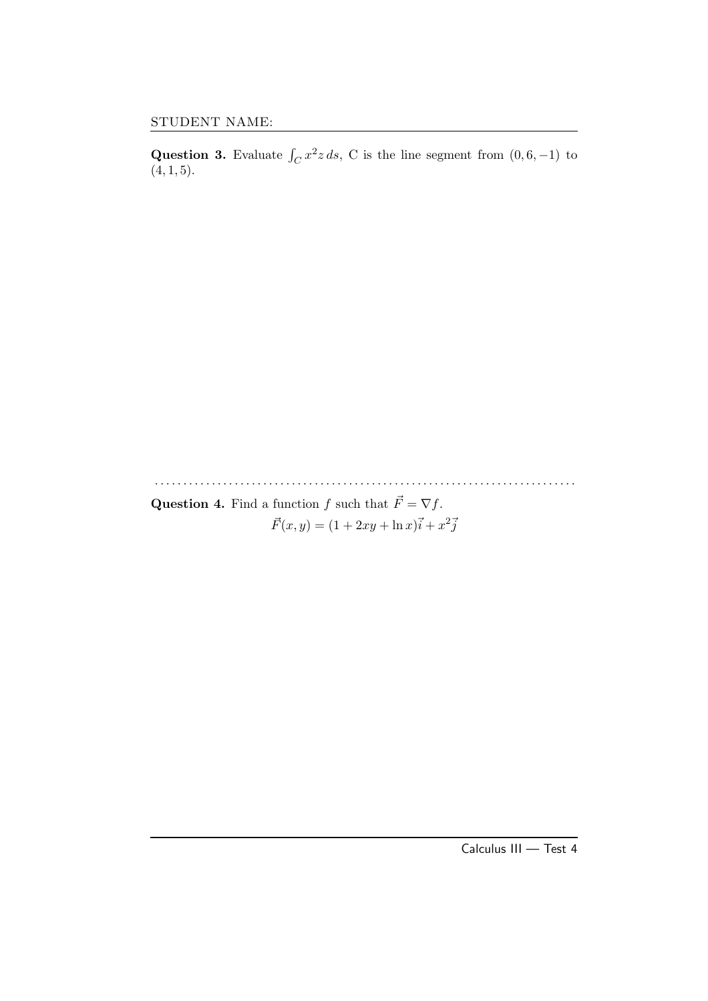Question 3. Evaluate  $\int_C x^2 z ds$ , C is the line segment from  $(0, 6, -1)$  to  $(4, 1, 5).$ 

. . . . . . . . . . . . . . . . . . . . . . . . . . . . . . . . . . . . . . . . . . . . . . . . . . . . . . . . . . . . . . . . . . . . . . . . . .

**Question 4.** Find a function f such that  $\vec{F} = \nabla f$ .  $\vec{F}(x,y) = (1 + 2xy + \ln x)\vec{i} + x^2\vec{j}$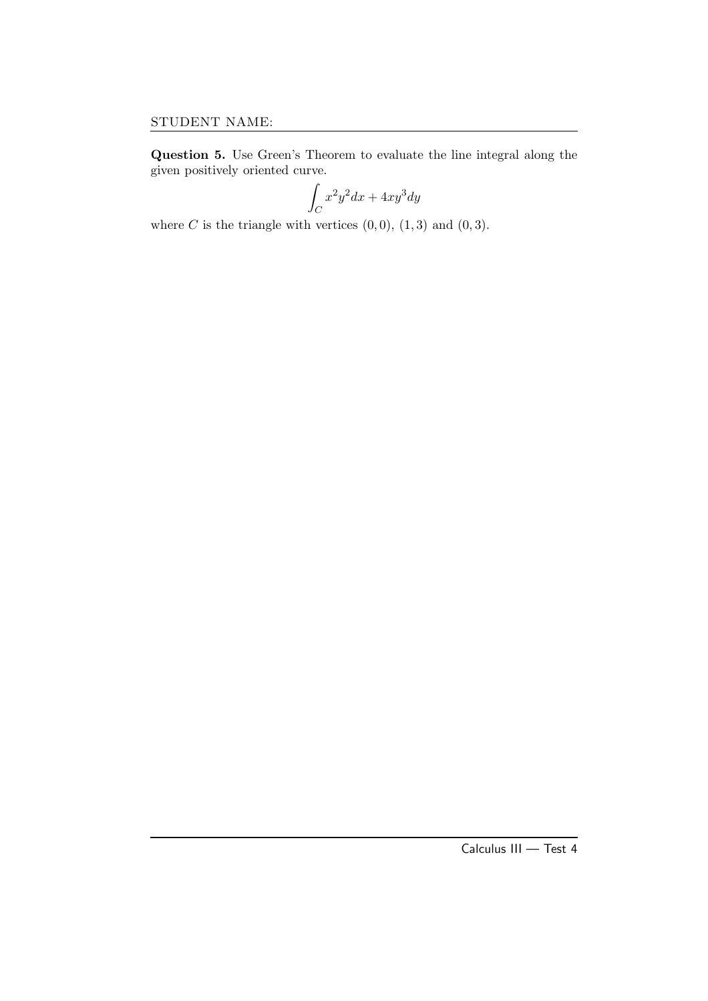Question 5. Use Green's Theorem to evaluate the line integral along the given positively oriented curve.

$$
\int_C x^2 y^2 dx + 4xy^3 dy
$$

where  $C$  is the triangle with vertices  $(0, 0)$ ,  $(1, 3)$  and  $(0, 3)$ .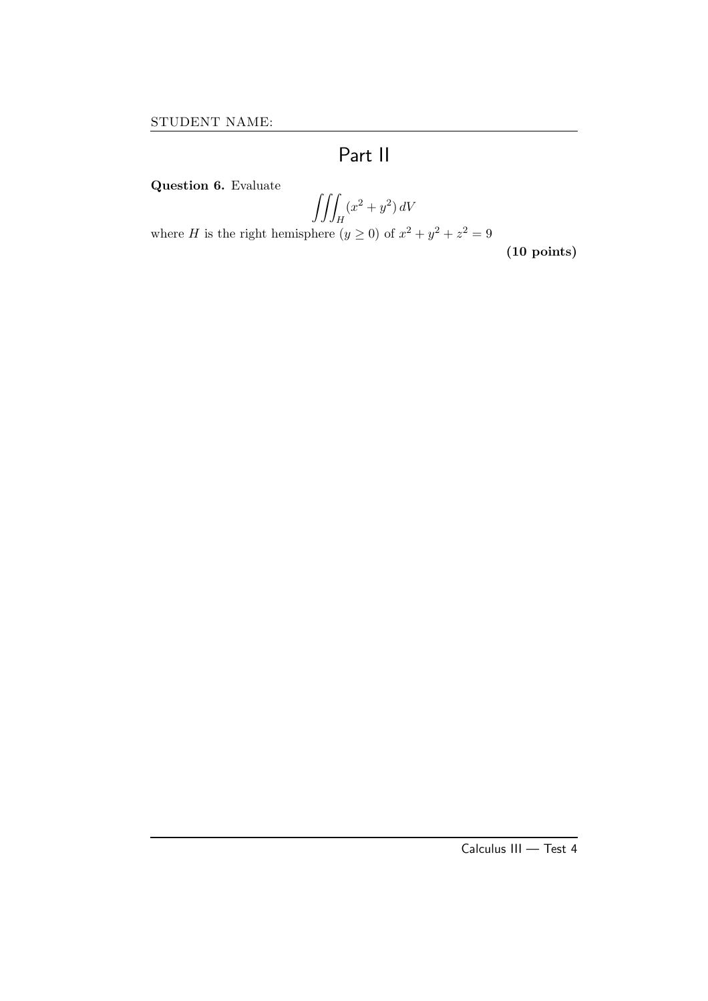# Part II

Question 6. Evaluate

$$
\iiint_H (x^2 + y^2) \, dV
$$

where *H* is the right hemisphere  $(y \ge 0)$  of  $x^2 + y^2 + z^2 = 9$ 

(10 points)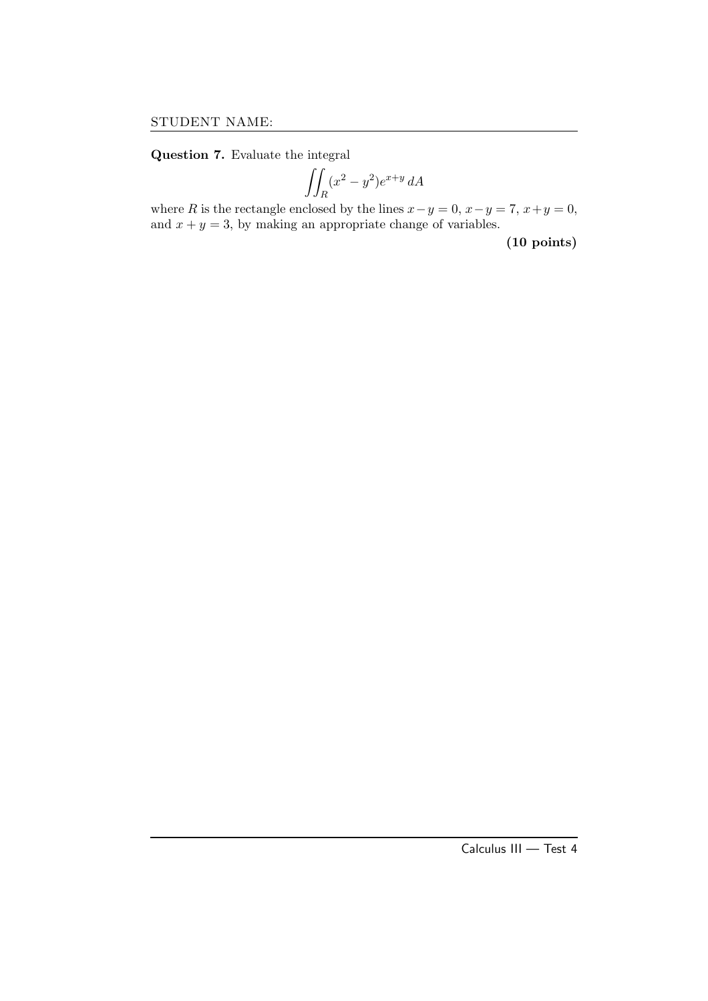Question 7. Evaluate the integral

$$
\iint_R (x^2 - y^2)e^{x+y} dA
$$

where R is the rectangle enclosed by the lines  $x-y=0$ ,  $x-y=7$ ,  $x+y=0$ , and  $x + y = 3$ , by making an appropriate change of variables.

(10 points)